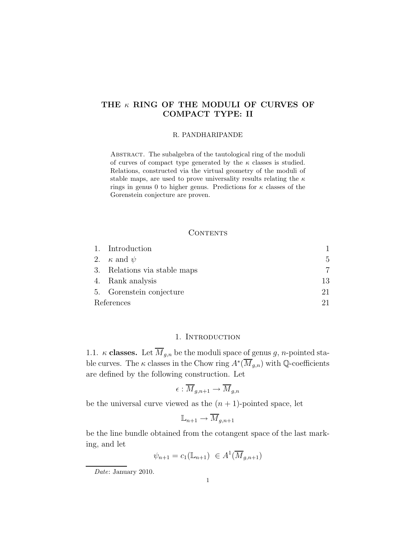# THE  $\kappa$  RING OF THE MODULI OF CURVES OF COMPACT TYPE: II

#### R. PANDHARIPANDE

Abstract. The subalgebra of the tautological ring of the moduli of curves of compact type generated by the  $\kappa$  classes is studied. Relations, constructed via the virtual geometry of the moduli of stable maps, are used to prove universality results relating the  $\kappa$ rings in genus 0 to higher genus. Predictions for  $\kappa$  classes of the Gorenstein conjecture are proven.

## **CONTENTS**

|            | 1. Introduction              |    |
|------------|------------------------------|----|
|            | 2. $\kappa$ and $\psi$       | 5. |
|            | 3. Relations via stable maps |    |
|            | 4. Rank analysis             | 13 |
|            | 5. Gorenstein conjecture     | 21 |
| References |                              |    |

## 1. INTRODUCTION

1.1.  $\kappa$  classes. Let  $\overline{M}_{g,n}$  be the moduli space of genus g, n-pointed stable curves. The  $\kappa$  classes in the Chow ring  $A^*(\overline{M}_{g,n})$  with Q-coefficients are defined by the following construction. Let

$$
\epsilon: \overline{M}_{g,n+1} \to \overline{M}_{g,n}
$$

be the universal curve viewed as the  $(n + 1)$ -pointed space, let

$$
\mathbb{L}_{n+1} \to \overline{M}_{g,n+1}
$$

be the line bundle obtained from the cotangent space of the last marking, and let

$$
\psi_{n+1} = c_1(\mathbb{L}_{n+1}) \in A^1(\overline{M}_{g,n+1})
$$

Date: January 2010.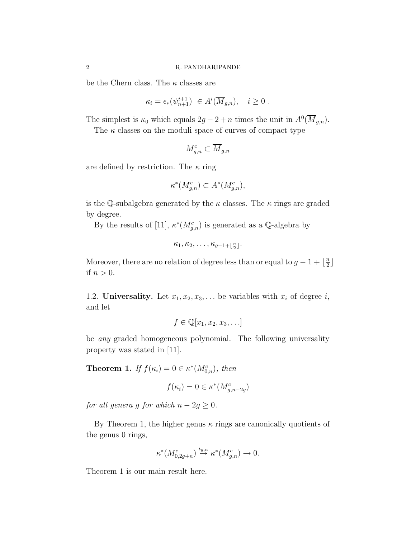be the Chern class. The  $\kappa$  classes are

$$
\kappa_i = \epsilon_*(\psi_{n+1}^{i+1}) \in A^i(\overline{M}_{g,n}), \quad i \ge 0.
$$

The simplest is  $\kappa_0$  which equals  $2g - 2 + n$  times the unit in  $A^0(\overline{M}_{g,n})$ .

The  $\kappa$  classes on the moduli space of curves of compact type

$$
M_{g,n}^c\subset \overline{M}_{g,n}
$$

are defined by restriction. The  $\kappa$  ring

$$
\kappa^*(M_{g,n}^c) \subset A^*(M_{g,n}^c),
$$

is the Q-subalgebra generated by the  $\kappa$  classes. The  $\kappa$  rings are graded by degree.

By the results of [11],  $\kappa^*(M_{g,n}^c)$  is generated as a Q-algebra by

$$
\kappa_1,\kappa_2,\ldots,\kappa_{g-1+\lfloor\frac{n}{2}\rfloor}.
$$

Moreover, there are no relation of degree less than or equal to  $g - 1 + \frac{n}{2}$  $\frac{n}{2}$ if  $n > 0$ .

1.2. Universality. Let  $x_1, x_2, x_3, \ldots$  be variables with  $x_i$  of degree i, and let

$$
f \in \mathbb{Q}[x_1, x_2, x_3, \ldots]
$$

be any graded homogeneous polynomial. The following universality property was stated in [11].

**Theorem 1.** If  $f(\kappa_i) = 0 \in \kappa^*(M_{0,n}^c)$ , then

$$
f(\kappa_i) = 0 \in \kappa^*(M_{g,n-2g}^c)
$$

for all genera g for which  $n - 2g \geq 0$ .

By Theorem 1, the higher genus  $\kappa$  rings are canonically quotients of the genus 0 rings,

$$
\kappa^*(M^c_{0,2g+n}) \stackrel{\iota_{g,n}}{\to} \kappa^*(M^c_{g,n}) \to 0.
$$

Theorem 1 is our main result here.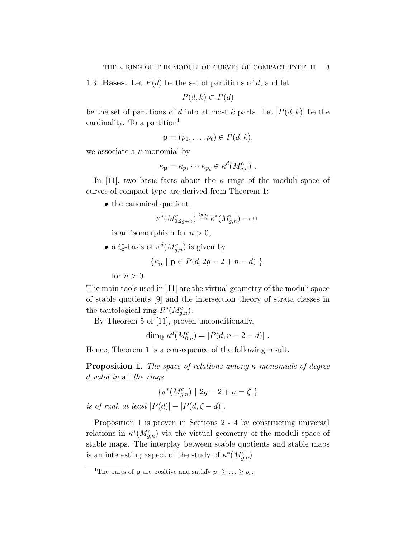1.3. **Bases.** Let  $P(d)$  be the set of partitions of d, and let

 $P(d, k) \subset P(d)$ 

be the set of partitions of d into at most k parts. Let  $|P(d, k)|$  be the cardinality. To a partition<sup>1</sup>

$$
\mathbf{p}=(p_1,\ldots,p_\ell)\in P(d,k),
$$

we associate a  $\kappa$  monomial by

$$
\kappa_{\mathbf{p}} = \kappa_{p_1} \cdots \kappa_{p_\ell} \in \kappa^d(M_{g,n}^c) \ .
$$

In [11], two basic facts about the  $\kappa$  rings of the moduli space of curves of compact type are derived from Theorem 1:

• the canonical quotient,

$$
\kappa^*(M_{0,2g+n}^c) \stackrel{\iota_{g,n}}{\to} \kappa^*(M_{g,n}^c) \to 0
$$

is an isomorphism for  $n > 0$ ,

• a Q-basis of  $\kappa^d(M_{g,n}^c)$  is given by

$$
\{\kappa_{\mathbf{p}} \mid \mathbf{p} \in P(d, 2g - 2 + n - d) \}
$$

for  $n > 0$ .

The main tools used in [11] are the virtual geometry of the moduli space of stable quotients [9] and the intersection theory of strata classes in the tautological ring  $R^*(M_{g,n}^c)$ .

By Theorem 5 of [11], proven unconditionally,

$$
\dim_{\mathbb{Q}} \kappa^d(M^c_{0,n}) = |P(d, n-2-d)|.
$$

Hence, Theorem 1 is a consequence of the following result.

**Proposition 1.** The space of relations among  $\kappa$  monomials of degree d valid in all the rings

$$
\{\kappa^*(M^c_{g,n})\ |\ 2g-2+n=\zeta\ \}
$$

is of rank at least  $|P(d)| - |P(d, \zeta - d)|$ .

Proposition 1 is proven in Sections 2 - 4 by constructing universal relations in  $\kappa^*(M_{g,n}^c)$  via the virtual geometry of the moduli space of stable maps. The interplay between stable quotients and stable maps is an interesting aspect of the study of  $\kappa^*(M_{g,n}^c)$ .

<sup>&</sup>lt;sup>1</sup>The parts of **p** are positive and satisfy  $p_1 \geq \ldots \geq p_\ell$ .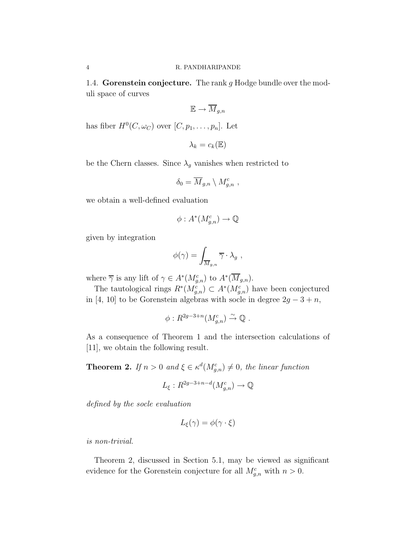1.4. Gorenstein conjecture. The rank  $g$  Hodge bundle over the moduli space of curves

$$
\mathbb{E} \to \overline{M}_{g,n}
$$

has fiber  $H^0(C, \omega_C)$  over  $[C, p_1, \ldots, p_n]$ . Let

$$
\lambda_k = c_k(\mathbb{E})
$$

be the Chern classes. Since  $\lambda_g$  vanishes when restricted to

$$
\delta_0 = \overline{M}_{g,n} \setminus M_{g,n}^c ,
$$

we obtain a well-defined evaluation

$$
\phi: A^*(M_{g,n}^c) \to \mathbb{Q}
$$

given by integration

$$
\phi(\gamma) = \int_{\overline{M}_{g,n}} \overline{\gamma} \cdot \lambda_g ,
$$

where  $\overline{\gamma}$  is any lift of  $\gamma \in A^*(M_{g,n}^c)$  to  $A^*(\overline{M}_{g,n})$ .

The tautological rings  $R^*(M_{g,n}^c) \subset A^*(M_{g,n}^c)$  have been conjectured in [4, 10] to be Gorenstein algebras with socle in degree  $2g - 3 + n$ ,

$$
\phi: R^{2g-3+n}(M_{g,n}^c) \stackrel{\sim}{\to} \mathbb{Q} .
$$

As a consequence of Theorem 1 and the intersection calculations of [11], we obtain the following result.

**Theorem 2.** If  $n > 0$  and  $\xi \in \kappa^d(M_{g,n}^c) \neq 0$ , the linear function

$$
L_{\xi}: R^{2g-3+n-d}(M_{g,n}^c) \to \mathbb{Q}
$$

defined by the socle evaluation

$$
L_{\xi}(\gamma) = \phi(\gamma \cdot \xi)
$$

is non-trivial.

Theorem 2, discussed in Section 5.1, may be viewed as significant evidence for the Gorenstein conjecture for all  $M_{g,n}^c$  with  $n > 0$ .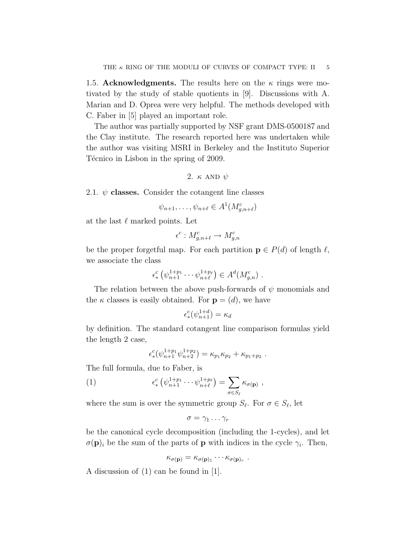1.5. Acknowledgments. The results here on the  $\kappa$  rings were motivated by the study of stable quotients in [9]. Discussions with A. Marian and D. Oprea were very helpful. The methods developed with C. Faber in [5] played an important role.

The author was partially supported by NSF grant DMS-0500187 and the Clay institute. The research reported here was undertaken while the author was visiting MSRI in Berkeley and the Instituto Superior Técnico in Lisbon in the spring of 2009.

2. 
$$
\kappa
$$
 AND  $\psi$ 

2.1.  $\psi$  classes. Consider the cotangent line classes

$$
\psi_{n+1}, \dots, \psi_{n+\ell} \in A^1(M_{g,n+\ell}^c)
$$

at the last  $\ell$  marked points. Let

$$
\epsilon^c: M_{g,n+\ell}^c \to M_{g,n}^c
$$

be the proper forgetful map. For each partition  $\mathbf{p} \in P(d)$  of length  $\ell$ , we associate the class

$$
\epsilon_*^c \left( \psi_{n+1}^{1+p_1} \cdots \psi_{n+\ell}^{1+p_\ell} \right) \in A^d(M_{g,n}^c) \ .
$$

The relation between the above push-forwards of  $\psi$  monomials and the  $\kappa$  classes is easily obtained. For  $\mathbf{p} = (d)$ , we have

$$
\epsilon_*^c(\psi_{n+1}^{1+d}) = \kappa_d
$$

by definition. The standard cotangent line comparison formulas yield the length 2 case,

$$
\epsilon_*^c(\psi_{n+1}^{1+p_1}\psi_{n+2}^{1+p_2}) = \kappa_{p_1}\kappa_{p_2} + \kappa_{p_1+p_2}.
$$

The full formula, due to Faber, is

(1) 
$$
\epsilon_*^c \left( \psi_{n+1}^{1+p_1} \cdots \psi_{n+\ell}^{1+p_\ell} \right) = \sum_{\sigma \in S_\ell} \kappa_{\sigma(\mathbf{p})} ,
$$

where the sum is over the symmetric group  $S_{\ell}$ . For  $\sigma \in S_{\ell}$ , let

$$
\sigma=\gamma_1\ldots\gamma_r
$$

be the canonical cycle decomposition (including the 1-cycles), and let  $\sigma(\mathbf{p})_i$  be the sum of the parts of **p** with indices in the cycle  $\gamma_i$ . Then,

$$
\kappa_{\sigma(\mathbf{p})} = \kappa_{\sigma(\mathbf{p})_1} \cdots \kappa_{\sigma(\mathbf{p})_r}
$$

.

A discussion of (1) can be found in [1].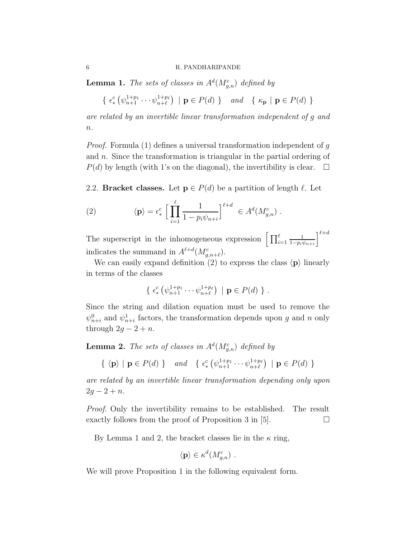**Lemma 1.** The sets of classes in  $A<sup>d</sup>(M<sub>g,n</sub><sup>c</sup>)$  defined by

$$
\{ \epsilon^c_* \left( \psi_{n+1}^{1+p_1} \cdots \psi_{n+\ell}^{1+p_\ell} \right) \mid \mathbf{p} \in P(d) \} \quad \text{and} \quad \{ \kappa_\mathbf{p} \mid \mathbf{p} \in P(d) \}
$$

are related by an invertible linear transformation independent of g and  $n$ .

*Proof.* Formula  $(1)$  defines a universal transformation independent of g and n. Since the transformation is triangular in the partial ordering of  $P(d)$  by length (with 1's on the diagonal), the invertibility is clear.  $\Box$ 

2.2. Bracket classes. Let  $p \in P(d)$  be a partition of length  $\ell$ . Let

(2) 
$$
\langle \mathbf{p} \rangle = \epsilon_*^c \left[ \prod_{i=1}^{\ell} \frac{1}{1 - p_i \psi_{n+i}} \right]^{\ell+d} \in A^d(M_{g,n}^c).
$$

The superscript in the inhomogeneous expression  $\left[\prod_{i=1}^{\ell}$ 1  $1-p_i\psi_{n+i}$  $\mathcal{I}^{\ell+d}$ indicates the summand in  $A^{\ell+d}(M_{g,n+\ell}^c)$ .

We can easily expand definition (2) to express the class  $\langle \mathbf{p} \rangle$  linearly in terms of the classes

$$
\{ \epsilon^c_* \left( \psi_{n+1}^{1+p_1} \cdots \psi_{n+\ell}^{1+p_\ell} \right) \mid \mathbf{p} \in P(d) \} .
$$

Since the string and dilation equation must be used to remove the  $\psi_{n+i}^0$  and  $\psi_{n+i}^1$  factors, the transformation depends upon g and n only through  $2g - 2 + n$ .

**Lemma 2.** The sets of classes in  $A<sup>d</sup>(M<sub>g,n</sub><sup>c</sup>)$  defined by

$$
\{ \langle \mathbf{p} \rangle \mid \mathbf{p} \in P(d) \} \quad and \quad \{ \epsilon^c_*(\psi_{n+1}^{1+p_1} \cdots \psi_{n+\ell}^{1+p_\ell}) \mid \mathbf{p} \in P(d) \}
$$

are related by an invertible linear transformation depending only upon  $2g - 2 + n$ .

Proof. Only the invertibility remains to be established. The result exactly follows from the proof of Proposition 3 in [5].  $\Box$ 

By Lemma 1 and 2, the bracket classes lie in the  $\kappa$  ring,

$$
\langle \mathbf{p} \rangle \in \kappa^d(M_{g,n}^c) \ .
$$

We will prove Proposition 1 in the following equivalent form.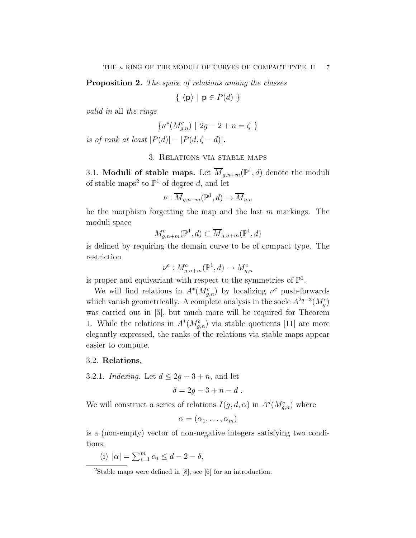Proposition 2. The space of relations among the classes

 $\{ \langle \mathbf{p} \rangle \mid \mathbf{p} \in P(d) \}$ 

valid in all the rings

$$
\{\kappa^*(M_{g,n}^c) \mid 2g-2+n=\zeta \}
$$

is of rank at least  $|P(d)| - |P(d, \zeta - d)|$ .

## 3. Relations via stable maps

3.1. Moduli of stable maps. Let  $\overline{M}_{g,n+m}(\mathbb{P}^1,d)$  denote the moduli of stable maps<sup>2</sup> to  $\mathbb{P}^1$  of degree d, and let

$$
\nu: \overline{M}_{g,n+m}(\mathbb{P}^1, d) \to \overline{M}_{g,n}
$$

be the morphism forgetting the map and the last  $m$  markings. The moduli space

$$
M_{g,n+m}^c(\mathbb{P}^1,d) \subset \overline{M}_{g,n+m}(\mathbb{P}^1,d)
$$

is defined by requiring the domain curve to be of compact type. The restriction

$$
\nu^c: M_{g,n+m}^c(\mathbb{P}^1, d) \to M_{g,n}^c
$$

is proper and equivariant with respect to the symmetries of  $\mathbb{P}^1$ .

We will find relations in  $A^*(M_{g,n}^c)$  by localizing  $\nu^c$  push-forwards which vanish geometrically. A complete analysis in the socle  $A^{2g-3}(M_g^c)$ was carried out in [5], but much more will be required for Theorem 1. While the relations in  $A^*(M_{g,n}^c)$  via stable quotients [11] are more elegantly expressed, the ranks of the relations via stable maps appear easier to compute.

### 3.2. Relations.

3.2.1. Indexing. Let  $d \leq 2g - 3 + n$ , and let

$$
\delta = 2g - 3 + n - d \; .
$$

We will construct a series of relations  $I(g, d, \alpha)$  in  $A^d(M_{g,n}^c)$  where

$$
\alpha=(\alpha_1,\ldots,\alpha_m)
$$

is a (non-empty) vector of non-negative integers satisfying two conditions:

(i)  $|\alpha| = \sum_{i=1}^{m} \alpha_i \le d - 2 - \delta,$ 

<sup>&</sup>lt;sup>2</sup>Stable maps were defined in  $[8]$ , see  $[6]$  for an introduction.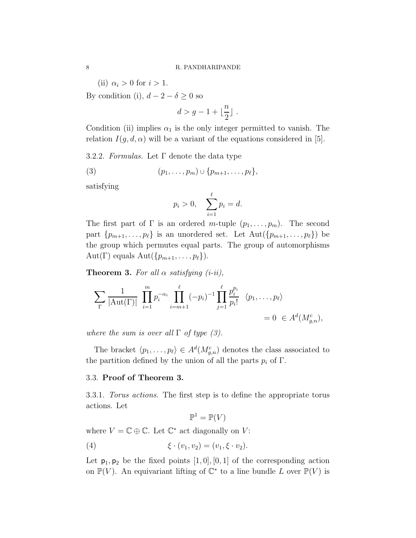(ii)  $\alpha_i > 0$  for  $i > 1$ .

By condition (i),  $d - 2 - \delta \geq 0$  so

$$
d > g - 1 + \lfloor \frac{n}{2} \rfloor \; .
$$

Condition (ii) implies  $\alpha_1$  is the only integer permitted to vanish. The relation  $I(g, d, \alpha)$  will be a variant of the equations considered in [5].

3.2.2. Formulas. Let  $\Gamma$  denote the data type

$$
(3) \qquad (p_1,\ldots,p_m)\cup\{p_{m+1},\ldots,p_\ell\},\,
$$

satisfying

$$
p_i > 0
$$
,  $\sum_{i=1}^{\ell} p_i = d$ .

The first part of  $\Gamma$  is an ordered m-tuple  $(p_1, \ldots, p_m)$ . The second part  $\{p_{m+1}, \ldots, p_\ell\}$  is an unordered set. Let  $\text{Aut}(\{p_{m+1}, \ldots, p_\ell\})$  be the group which permutes equal parts. The group of automorphisms Aut(Γ) equals Aut( $\{p_{m+1}, \ldots, p_\ell\}$ ).

**Theorem 3.** For all  $\alpha$  satisfying (i-ii),

$$
\sum_{\Gamma} \frac{1}{|\text{Aut}(\Gamma)|} \prod_{i=1}^{m} p_i^{-\alpha_i} \prod_{i=m+1}^{\ell} (-p_i)^{-1} \prod_{j=1}^{\ell} \frac{p_i^{p_i}}{p_i!} \langle p_1, \dots, p_{\ell} \rangle
$$
  
= 0 \in A<sup>d</sup>(M<sub>g,n</sub><sup>c</sup>),

where the sum is over all  $\Gamma$  of type (3).

The bracket  $\langle p_1, \ldots, p_\ell \rangle \in A^d(M_{g,n}^c)$  denotes the class associated to the partition defined by the union of all the parts  $p_i$  of  $\Gamma$ .

## 3.3. Proof of Theorem 3.

3.3.1. Torus actions. The first step is to define the appropriate torus actions. Let

$$
\mathbb{P}^1 = \mathbb{P}(V)
$$

where  $V = \mathbb{C} \oplus \mathbb{C}$ . Let  $\mathbb{C}^*$  act diagonally on V:

(4) 
$$
\xi \cdot (v_1, v_2) = (v_1, \xi \cdot v_2).
$$

Let  $p_1, p_2$  be the fixed points  $[1, 0], [0, 1]$  of the corresponding action on  $\mathbb{P}(V)$ . An equivariant lifting of  $\mathbb{C}^*$  to a line bundle L over  $\mathbb{P}(V)$  is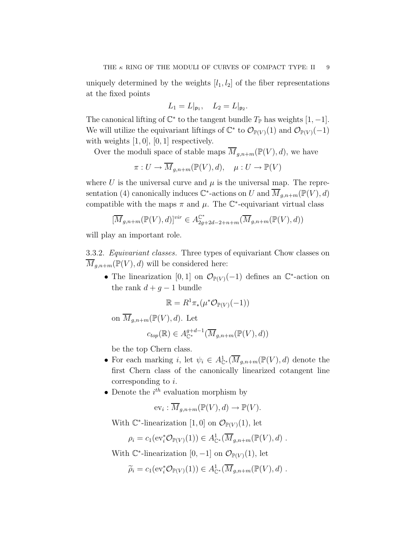uniquely determined by the weights  $[l_1, l_2]$  of the fiber representations at the fixed points

$$
L_1 = L|_{\mathsf{p}_1}, \quad L_2 = L|_{\mathsf{p}_2}.
$$

The canonical lifting of  $\mathbb{C}^*$  to the tangent bundle  $T_{\mathbb{P}}$  has weights  $[1, -1]$ . We will utilize the equivariant liftings of  $\mathbb{C}^*$  to  $\mathcal{O}_{\mathbb{P}(V)}(1)$  and  $\mathcal{O}_{\mathbb{P}(V)}(-1)$ with weights  $[1, 0]$ ,  $[0, 1]$  respectively.

Over the moduli space of stable maps  $\overline{M}_{q,n+m}(\mathbb{P}(V), d)$ , we have

$$
\pi: U \to \overline{M}_{g,n+m}(\mathbb{P}(V), d), \quad \mu: U \to \mathbb{P}(V)
$$

where U is the universal curve and  $\mu$  is the universal map. The representation (4) canonically induces  $\mathbb{C}^*$ -actions on U and  $\overline{M}_{g,n+m}(\mathbb{P}(V),d)$ compatible with the maps  $\pi$  and  $\mu$ . The  $\mathbb{C}^*$ -equivariant virtual class

$$
[\overline{M}_{g,n+m}(\mathbb{P}(V),d)]^{vir} \in A_{2g+2d-2+n+m}^{\mathbb{C}^*}(\overline{M}_{g,n+m}(\mathbb{P}(V),d))
$$

will play an important role.

3.3.2. Equivariant classes. Three types of equivariant Chow classes on  $\overline{M}_{g,n+m}(\mathbb{P}(V),d)$  will be considered here:

• The linearization [0, 1] on  $\mathcal{O}_{\mathbb{P}(V)}(-1)$  defines an  $\mathbb{C}^*$ -action on the rank  $d + g - 1$  bundle

$$
\mathbb{R} = R^1 \pi_*(\mu^* \mathcal{O}_{\mathbb{P}(V)}(-1))
$$

on  $\overline{M}_{q,n+m}(\mathbb{P}(V),d)$ . Let

$$
c_{top}(\mathbb{R}) \in A_{\mathbb{C}^*}^{g+d-1}(\overline{M}_{g,n+m}(\mathbb{P}(V),d))
$$

be the top Chern class.

- For each marking i, let  $\psi_i \in A^1_{\mathbb{C}^*}(\overline{M}_{g,n+m}(\mathbb{P}(V),d))$  denote the first Chern class of the canonically linearized cotangent line corresponding to i.
- Denote the  $i^{th}$  evaluation morphism by

$$
ev_i: \overline{M}_{g,n+m}(\mathbb{P}(V),d) \to \mathbb{P}(V).
$$

With  $\mathbb{C}^*$ -linearization [1, 0] on  $\mathcal{O}_{\mathbb{P}(V)}(1)$ , let

$$
\rho_i = c_1(\mathrm{ev}_i^* \mathcal{O}_{\mathbb{P}(V)}(1)) \in A^1_{\mathbb{C}^*}(\overline{M}_{g,n+m}(\mathbb{P}(V),d) .
$$

With  $\mathbb{C}^*$ -linearization  $[0, -1]$  on  $\mathcal{O}_{\mathbb{P}(V)}(1)$ , let

$$
\widetilde{\rho}_i = c_1(\mathrm{ev}_i^* \mathcal{O}_{\mathbb{P}(V)}(1)) \in A^1_{\mathbb{C}^*}(\overline{M}_{g,n+m}(\mathbb{P}(V),d) .
$$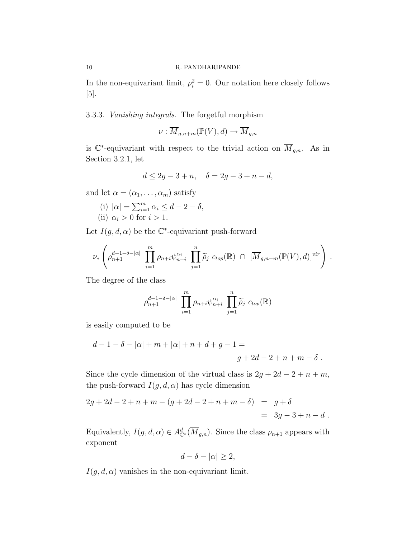In the non-equivariant limit,  $\rho_i^2 = 0$ . Our notation here closely follows [5].

3.3.3. Vanishing integrals. The forgetful morphism

$$
\nu: \overline{M}_{g,n+m}(\mathbb{P}(V),d) \to \overline{M}_{g,n}
$$

is  $\mathbb{C}^*$ -equivariant with respect to the trivial action on  $\overline{M}_{g,n}$ . As in Section 3.2.1, let

$$
d \le 2g - 3 + n, \quad \delta = 2g - 3 + n - d,
$$

and let  $\alpha = (\alpha_1, \ldots, \alpha_m)$  satisfy

(i) 
$$
|\alpha| = \sum_{i=1}^{m} \alpha_i \le d - 2 - \delta
$$
,  
(ii)  $\alpha_i > 0$  for  $i > 1$ .

Let  $I(g, d, \alpha)$  be the  $\mathbb{C}^*$ -equivariant push-forward

$$
\nu_*\left(\rho_{n+1}^{d-1-\delta-|\alpha|}\prod_{i=1}^m\rho_{n+i}\psi_{n+i}^{\alpha_i}\prod_{j=1}^n\widetilde{\rho}_j\ c_{top}(\mathbb{R})\ \cap\ [\overline{M}_{g,n+m}(\mathbb{P}(V),d)]^{vir}\right)\ .
$$

The degree of the class

$$
\rho_{n+1}^{d-1-\delta-|\alpha|} \prod_{i=1}^m \rho_{n+i} \psi_{n+i}^{\alpha_i} \prod_{j=1}^n \widetilde{\rho}_j \ c_{top}(\mathbb{R})
$$

is easily computed to be

$$
d-1 - \delta - |\alpha| + m + |\alpha| + n + d + g - 1 =
$$
  

$$
g + 2d - 2 + n + m - \delta.
$$

Since the cycle dimension of the virtual class is  $2g + 2d - 2 + n + m$ , the push-forward  $I(g, d, \alpha)$  has cycle dimension

$$
2g + 2d - 2 + n + m - (g + 2d - 2 + n + m - \delta) = g + \delta
$$
  
= 3g - 3 + n - d.

Equivalently,  $I(g, d, \alpha) \in A^d_{\mathbb{C}^*}(\overline{M}_{g,n})$ . Since the class  $\rho_{n+1}$  appears with exponent

$$
d - \delta - |\alpha| \ge 2,
$$

 $I(g, d, \alpha)$  vanishes in the non-equivariant limit.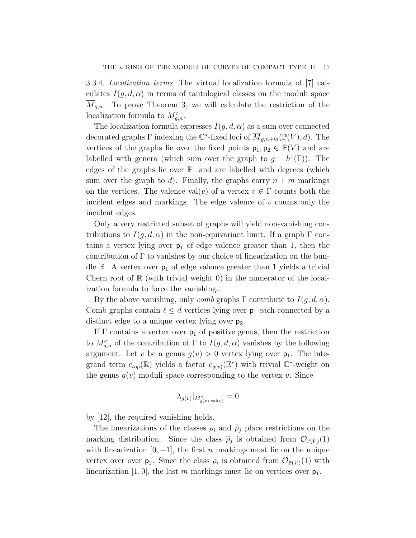3.3.4. Localization terms. The virtual localization formula of [7] calculates  $I(q, d, \alpha)$  in terms of tautological classes on the moduli space  $M_{g,n}$ . To prove Theorem 3, we will calculate the restriction of the localization formula to  $M_{g,n}^c$ .

The localization formula expresses  $I(g, d, \alpha)$  as a sum over connected decorated graphs  $\Gamma$  indexing the  $\mathbb{C}^*$ -fixed loci of  $\overline{M}_{g,n+m}(\mathbb{P}(V),d)$ . The vertices of the graphs lie over the fixed points  $p_1, p_2 \in \mathbb{P}(V)$  and are labelled with genera (which sum over the graph to  $g - h^1(\Gamma)$ ). The edges of the graphs lie over  $\mathbb{P}^1$  and are labelled with degrees (which sum over the graph to d). Finally, the graphs carry  $n + m$  markings on the vertices. The valence val $(v)$  of a vertex  $v \in \Gamma$  counts both the incident edges and markings. The edge valence of  $v$  counts only the incident edges.

Only a very restricted subset of graphs will yield non-vanishing contributions to  $I(g, d, \alpha)$  in the non-equivariant limit. If a graph  $\Gamma$  contains a vertex lying over  $p_1$  of edge valence greater than 1, then the contribution of  $\Gamma$  to vanishes by our choice of linearization on the bundle R. A vertex over  $p_1$  of edge valence greater than 1 yields a trivial Chern root of  $\mathbb R$  (with trivial weight 0) in the numerator of the localization formula to force the vanishing.

By the above vanishing, only *comb* graphs  $\Gamma$  contribute to  $I(g, d, \alpha)$ . Comb graphs contain  $\ell \leq d$  vertices lying over  $p_1$  each connected by a distinct edge to a unique vertex lying over  $p_2$ .

If  $\Gamma$  contains a vertex over  $p_1$  of positive genus, then the restriction to  $M_{g,n}^c$  of the contribution of  $\Gamma$  to  $I(g,d,\alpha)$  vanishes by the following argument. Let v be a genus  $g(v) > 0$  vertex lying over  $p_1$ . The integrand term  $c_{top}(\mathbb{R})$  yields a factor  $c_{g(v)}(\mathbb{E}^*)$  with trivial  $\mathbb{C}^*$ -weight on the genus  $g(v)$  moduli space corresponding to the vertex v. Since

$$
\lambda_{g(v)}|_{M^c_{g(v),\text{val}(v)}}=0
$$

by [12], the required vanishing holds.

The linearizations of the classes  $\rho_i$  and  $\tilde{\rho}_j$  place restrictions on the marking distribution. Since the class  $\tilde{\rho}_j$  is obtained from  $\mathcal{O}_{\mathbb{P}(V)}(1)$ with linearization  $[0, -1]$ , the first *n* markings must lie on the unique vertex over over  $p_2$ . Since the class  $\rho_i$  is obtained from  $\mathcal{O}_{\mathbb{P}(V)}(1)$  with linearization [1,0], the last m markings must lie on vertices over  $p_1$ .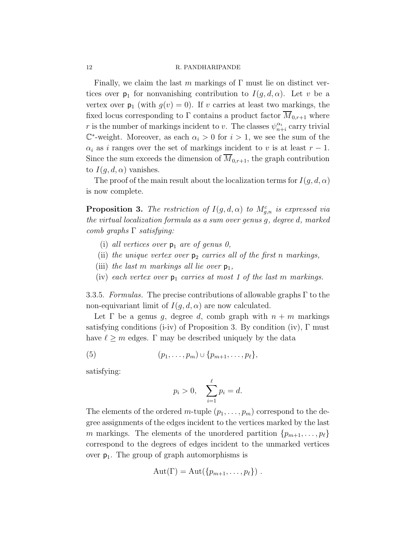Finally, we claim the last m markings of  $\Gamma$  must lie on distinct vertices over  $p_1$  for nonvanishing contribution to  $I(g, d, \alpha)$ . Let v be a vertex over  $p_1$  (with  $g(v) = 0$ ). If v carries at least two markings, the fixed locus corresponding to Γ contains a product factor  $\overline{M}_{0,r+1}$  where r is the number of markings incident to v. The classes  $\psi_{n+i}^{\alpha_i}$  carry trivial  $\mathbb{C}^*$ -weight. Moreover, as each  $\alpha_i > 0$  for  $i > 1$ , we see the sum of the  $\alpha_i$  as i ranges over the set of markings incident to v is at least  $r-1$ . Since the sum exceeds the dimension of  $\overline{M}_{0,r+1}$ , the graph contribution to  $I(q, d, \alpha)$  vanishes.

The proof of the main result about the localization terms for  $I(q, d, \alpha)$ is now complete.

**Proposition 3.** The restriction of  $I(g, d, \alpha)$  to  $M_{g,n}^c$  is expressed via the virtual localization formula as a sum over genus g, degree d, marked comb graphs  $\Gamma$  satisfying:

- (i) all vertices over  $p_1$  are of genus 0,
- (ii) the unique vertex over  $p_2$  carries all of the first n markings,
- (iii) the last m markings all lie over  $p_1$ ,
- (iv) each vertex over  $p_1$  carries at most 1 of the last m markings.

3.3.5. Formulas. The precise contributions of allowable graphs  $\Gamma$  to the non-equivariant limit of  $I(q, d, \alpha)$  are now calculated.

Let  $\Gamma$  be a genus g, degree d, comb graph with  $n + m$  markings satisfying conditions (i-iv) of Proposition 3. By condition (iv),  $\Gamma$  must have  $\ell \geq m$  edges.  $\Gamma$  may be described uniquely by the data

(5) 
$$
(p_1,\ldots,p_m)\cup\{p_{m+1},\ldots,p_\ell\},\,
$$

satisfying:

$$
p_i > 0
$$
,  $\sum_{i=1}^{\ell} p_i = d$ .

The elements of the ordered m-tuple  $(p_1, \ldots, p_m)$  correspond to the degree assignments of the edges incident to the vertices marked by the last m markings. The elements of the unordered partition  $\{p_{m+1}, \ldots, p_\ell\}$ correspond to the degrees of edges incident to the unmarked vertices over  $p_1$ . The group of graph automorphisms is

$$
Aut(\Gamma) = Aut({p_{m+1},\ldots,p_\ell}) .
$$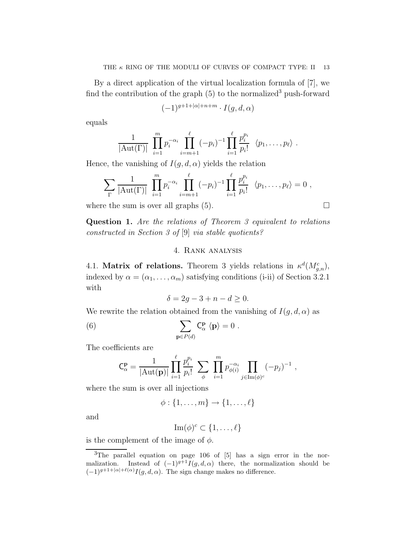By a direct application of the virtual localization formula of [7], we find the contribution of the graph  $(5)$  to the normalized<sup>3</sup> push-forward

$$
(-1)^{g+1+|\alpha|+n+m} \cdot I(g,d,\alpha)
$$

equals

$$
\frac{1}{|\mathrm{Aut}(\Gamma)|}\ \prod_{i=1}^{m}p_i^{-\alpha_i}\prod_{i=m+1}^{\ell}(-p_i)^{-1}\prod_{i=1}^{\ell}\frac{p_i^{p_i}}{p_i!}\ \langle p_1,\ldots,p_\ell\rangle\ .
$$

Hence, the vanishing of  $I(g, d, \alpha)$  yields the relation

$$
\sum_{\Gamma} \frac{1}{|\mathrm{Aut}(\Gamma)|} \prod_{i=1}^{m} p_i^{-\alpha_i} \prod_{i=m+1}^{\ell} (-p_i)^{-1} \prod_{i=1}^{\ell} \frac{p_i^{p_i}}{p_i!} \ \langle p_1, \ldots, p_{\ell} \rangle = 0 ,
$$

where the sum is over all graphs  $(5)$ .

Question 1. Are the relations of Theorem 3 equivalent to relations constructed in Section 3 of [9] via stable quotients?

## 4. Rank analysis

4.1. **Matrix of relations.** Theorem 3 yields relations in  $\kappa^d(M_{g,n}^c)$ , indexed by  $\alpha = (\alpha_1, \ldots, \alpha_m)$  satisfying conditions (i-ii) of Section 3.2.1 with

$$
\delta = 2g - 3 + n - d \ge 0.
$$

We rewrite the relation obtained from the vanishing of  $I(g, d, \alpha)$  as

(6) 
$$
\sum_{\mathbf{p}\in P(d)} C_{\alpha}^{\mathbf{p}} \langle \mathbf{p} \rangle = 0.
$$

The coefficients are

$$
C_{\alpha}^{p} = \frac{1}{|\text{Aut}(p)|} \prod_{i=1}^{\ell} \frac{p_i^{p_i}}{p_i!} \sum_{\phi} \prod_{i=1}^{m} p_{\phi(i)}^{-\alpha_i} \prod_{j \in \text{Im}(\phi)^c} (-p_j)^{-1} ,
$$

where the sum is over all injections

$$
\phi: \{1,\ldots,m\} \to \{1,\ldots,\ell\}
$$

and

$$
\operatorname{Im}(\phi)^c \subset \{1, \ldots, \ell\}
$$

is the complement of the image of  $\phi$ .

<sup>&</sup>lt;sup>3</sup>The parallel equation on page 106 of [5] has a sign error in the normalization. Instead of  $(-1)^{g+1}I(g, d, \alpha)$  there, the normalization should be  $(-1)^{g+1+|\alpha|+\ell(\alpha)} I(g, d, \alpha)$ . The sign change makes no difference.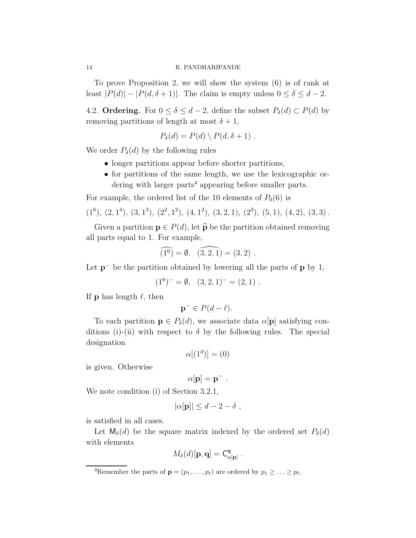To prove Proposition 2, we will show the system (6) is of rank at least  $|P(d)| - |P(d, \delta + 1)|$ . The claim is empty unless  $0 \le \delta \le d - 2$ .

4.2. Ordering. For  $0 \le \delta \le d - 2$ , define the subset  $P_{\delta}(d) \subset P(d)$  by removing partitions of length at most  $\delta + 1$ ,

$$
P_{\delta}(d) = P(d) \setminus P(d, \delta + 1) .
$$

We order  $P_{\delta}(d)$  by the following rules

- longer partitions appear before shorter partitions,
- for partitions of the same length, we use the lexicographic ordering with larger parts<sup>4</sup> appearing before smaller parts.

For example, the ordered list of the 10 elements of  $P_0(6)$  is

$$
(1^6), (2, 1^4), (3, 1^3), (2^2, 1^2), (4, 1^2), (3, 2, 1), (2^3), (5, 1), (4, 2), (3, 3).
$$

Given a partition  $\mathbf{p} \in P(d)$ , let  $\widehat{\mathbf{p}}$  be the partition obtained removing all parts equal to 1. For example,

$$
\widehat{(1^6)} = \emptyset, \ \widehat{(3,2,1)} = (3,2) \ .
$$

Let  $p^-$  be the partition obtained by lowering all the parts of  $p$  by 1,

$$
(16)- = \emptyset, (3, 2, 1)- = (2, 1).
$$

If **p** has length  $\ell$ , then

$$
\mathbf{p}^- \in P(d-\ell).
$$

To each partition  $\mathbf{p} \in P_{\delta}(d)$ , we associate data  $\alpha[\mathbf{p}]$  satisfying conditions (i)-(ii) with respect to  $\delta$  by the following rules. The special designation

$$
\alpha[(1^d)] = (0)
$$

is given. Otherwise

$$
\alpha[\mathbf{p}] = \mathbf{p}^- .
$$

We note condition (i) of Section 3.2.1,

$$
|\alpha[\mathbf{p}]| \leq d - 2 - \delta \;,
$$

is satisfied in all cases.

Let  $M_{\delta}(d)$  be the square matrix indexed by the ordered set  $P_{\delta}(d)$ with elements

$$
M_{\delta}(d)[\mathbf{p},\mathbf{q}] = \mathsf{C}^{\mathbf{q}}_{\alpha[\mathbf{p}]}.
$$

<sup>4</sup>Remember the parts of  $\mathbf{p} = (p_1, \ldots, p_\ell)$  are ordered by  $p_1 \geq \ldots \geq p_\ell$ .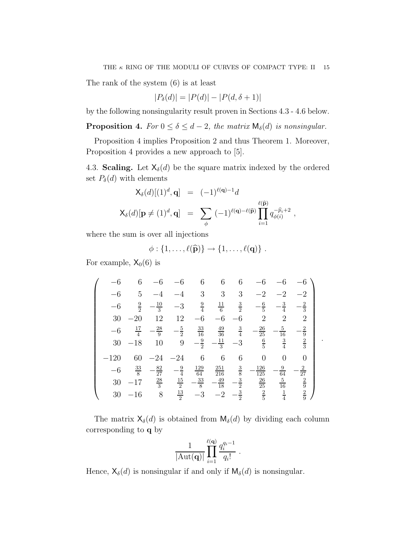The rank of the system (6) is at least

$$
|P_{\delta}(d)| = |P(d)| - |P(d, \delta + 1)|
$$

by the following nonsingularity result proven in Sections 4.3 - 4.6 below.

**Proposition 4.** For  $0 \le \delta \le d - 2$ , the matrix  $\mathsf{M}_{\delta}(d)$  is nonsingular.

Proposition 4 implies Proposition 2 and thus Theorem 1. Moreover, Proposition 4 provides a new approach to [5].

4.3. Scaling. Let  $X_{\delta}(d)$  be the square matrix indexed by the ordered set  $P_{\delta}(d)$  with elements

$$
\mathsf{X}_{\delta}(d)[(1)^{d}, \mathbf{q}] = (-1)^{\ell(\mathbf{q})-1}d
$$
  

$$
\mathsf{X}_{\delta}(d)[\mathbf{p} \neq (1)^{d}, \mathbf{q}] = \sum_{\phi} (-1)^{\ell(\mathbf{q})-\ell(\widehat{\mathbf{p}})} \prod_{i=1}^{\ell(\widehat{\mathbf{p}})} q_{\phi(i)}^{-\widehat{p}_{i}+2},
$$

where the sum is over all injections

$$
\phi: \{1,\ldots,\ell(\widehat{\mathbf{p}})\}\to \{1,\ldots,\ell(\mathbf{q})\}.
$$

For example,  $X_0(6)$  is

$$
\begin{pmatrix}\n-6 & 6 & -6 & -6 & 6 & 6 & 6 & -6 & -6 & -6 \\
-6 & 5 & -4 & -4 & 3 & 3 & 3 & -2 & -2 & -2 \\
-6 & \frac{9}{2} & -\frac{10}{3} & -3 & \frac{9}{4} & \frac{11}{6} & \frac{3}{2} & -\frac{6}{5} & -\frac{3}{4} & -\frac{2}{3} \\
30 & -20 & 12 & 12 & -6 & -6 & -6 & 2 & 2 & 2 & 2 \\
-6 & \frac{17}{4} & -\frac{28}{9} & -\frac{5}{2} & \frac{33}{16} & \frac{49}{36} & \frac{3}{4} & -\frac{26}{25} & -\frac{5}{16} & -\frac{2}{9} \\
30 & -18 & 10 & 9 & -\frac{9}{2} & -\frac{11}{3} & -3 & \frac{6}{5} & \frac{3}{4} & \frac{2}{3} \\
-120 & 60 & -24 & -24 & 6 & 6 & 6 & 0 & 0 & 0 \\
-6 & \frac{33}{8} & -\frac{82}{27} & -\frac{9}{4} & \frac{129}{64} & \frac{251}{216} & \frac{3}{8} & -\frac{126}{125} & -\frac{9}{64} & -\frac{2}{27} \\
30 & -17 & \frac{28}{3} & \frac{15}{2} & -\frac{33}{8} & -\frac{49}{18} & -\frac{3}{2} & \frac{26}{25} & \frac{5}{16} & \frac{2}{9} \\
30 & -16 & 8 & \frac{13}{2} & -3 & -2 & -\frac{3}{2} & \frac{2}{5} & \frac{1}{4} & \frac{2}{9}\n\end{pmatrix}
$$

.

The matrix  $\mathsf{X}_{\delta}(d)$  is obtained from  $\mathsf{M}_{\delta}(d)$  by dividing each column corresponding to q by

$$
\frac{1}{|\mathrm{Aut}(\mathbf{q})|} \prod_{i=1}^{\ell(\mathbf{q})} \frac{q_i^{q_i-1}}{q_i!}.
$$

Hence,  $\mathsf{X}_{\delta}(d)$  is nonsingular if and only if  $\mathsf{M}_{\delta}(d)$  is nonsingular.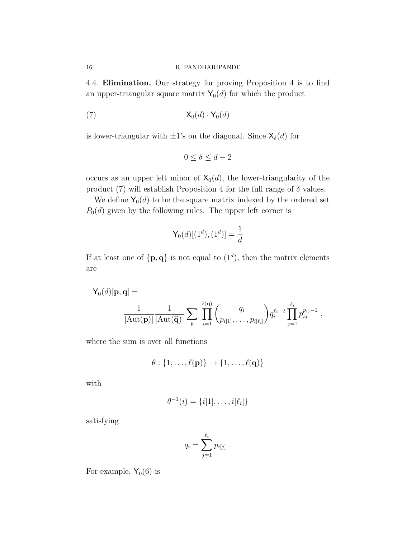4.4. Elimination. Our strategy for proving Proposition 4 is to find an upper-triangular square matrix  $Y_0(d)$  for which the product

$$
(7) \t\t X_0(d) \cdot Y_0(d)
$$

is lower-triangular with  $\pm 1$ 's on the diagonal. Since  $\mathsf{X}_{\delta}(d)$  for

$$
0\leq \delta\leq d-2
$$

occurs as an upper left minor of  $X_0(d)$ , the lower-triangularity of the product (7) will establish Proposition 4 for the full range of  $\delta$  values.

We define  $Y_0(d)$  to be the square matrix indexed by the ordered set  $P_0(d)$  given by the following rules. The upper left corner is

$$
\mathsf{Y}_{0}(d)[(1^d),(1^d)]=\frac{1}{d}
$$

If at least one of  $\{p,q\}$  is not equal to  $(1^d)$ , then the matrix elements are

$$
\mathsf{Y}_{0}(d)[\mathbf{p},\mathbf{q}] = \frac{1}{|\mathrm{Aut}(\mathbf{p})|} \frac{1}{|\mathrm{Aut}(\widehat{\mathbf{q}})|} \sum_{\theta} \prod_{i=1}^{\ell(\mathbf{q})} {q_i \choose p_{i[1]}, \ldots, p_{i[\ell_i]}} q_i^{\ell_i-2} \prod_{j=1}^{\ell_i} p_{ij}^{p_{ij}-1},
$$

where the sum is over all functions

$$
\theta: \{1,\ldots,\ell(\mathbf{p})\} \to \{1,\ldots,\ell(\mathbf{q})\}
$$

with

$$
\theta^{-1}(i) = \{i[1], \ldots, i[\ell_i]\}
$$

satisfying

$$
q_i = \sum_{j=1}^{\ell_i} p_{i[j]}
$$

.

For example,  $Y_0(6)$  is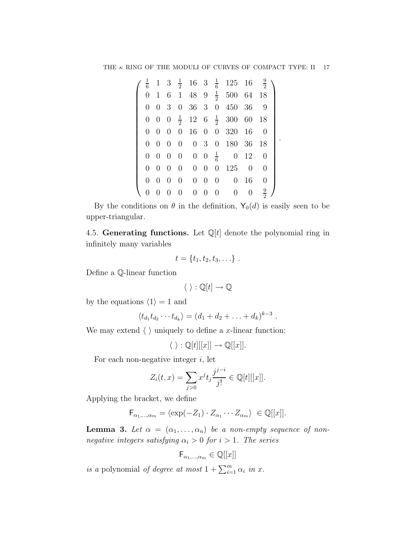| $\frac{1}{6}$  |                |                |                  |             |             |                   | $1 \quad 3 \quad \frac{1}{2} \quad 16 \quad 3 \quad \frac{1}{6} \quad 125 \quad 16$ |            | $\frac{9}{2}$  |
|----------------|----------------|----------------|------------------|-------------|-------------|-------------------|-------------------------------------------------------------------------------------|------------|----------------|
| $\theta$       |                |                |                  |             |             |                   | 1 6 1 48 9 $\frac{1}{2}$ 500 64 18                                                  |            |                |
| $\theta$       |                | 0 <sup>3</sup> | $\theta$         |             |             |                   | 36 3 0 450 36                                                                       |            | 9              |
|                | $0 \quad 0$    |                |                  |             |             |                   | $0 \frac{1}{2}$ 12 6 $\frac{1}{2}$ 300 60 18                                        |            |                |
| $\theta$       | $\overline{0}$ | $\theta$       | $\boldsymbol{0}$ |             |             |                   | 16 0 0 320 16                                                                       |            | $\theta$       |
| $\Omega$       | $\overline{0}$ | $\theta$       | $\boldsymbol{0}$ |             |             |                   | 0 3 0 180 36 18                                                                     |            |                |
| $\overline{0}$ | $0\quad 0$     |                | $\boldsymbol{0}$ |             |             | 0 0 $\frac{1}{6}$ |                                                                                     | $0\quad12$ | $\overline{0}$ |
| $\Omega$       | $\overline{0}$ | $\theta$       | $\overline{0}$   |             | $0 \quad 0$ |                   | 0 125                                                                               | $\theta$   | $\theta$       |
| $\theta$       | $\overline{0}$ | $\overline{0}$ | $\theta$         |             | $0 \quad 0$ | $\overline{0}$    | $\overline{0}$                                                                      | 16         | $\theta$       |
|                |                | $\theta$       | $\theta$         | $0 \quad 0$ |             | $\overline{0}$    | $\boldsymbol{0}$                                                                    | 0          | $\frac{9}{2}$  |

.

By the conditions on  $\theta$  in the definition,  $\mathsf{Y}_0(d)$  is easily seen to be upper-triangular.

4.5. Generating functions. Let  $\mathbb{Q}[t]$  denote the polynomial ring in infinitely many variables

$$
t = \{t_1, t_2, t_3, \ldots\}.
$$

Define a Q-linear function

$$
\langle \ \rangle: \mathbb{Q}[t] \to \mathbb{Q}
$$

by the equations  $\langle 1 \rangle = 1$  and

$$
\langle t_{d_1} t_{d_2} \cdots t_{d_k} \rangle = (d_1 + d_2 + \ldots + d_k)^{k-3}.
$$

We may extend  $\langle \ \rangle$  uniquely to define a x-linear function:

$$
\langle \ \rangle: \mathbb{Q}[t][[x]] \to \mathbb{Q}[[x]].
$$

For each non-negative integer  $i$ , let

$$
Z_i(t, x) = \sum_{j>0} x^j t_j \frac{j^{j-i}}{j!} \in \mathbb{Q}[t][[x]].
$$

Applying the bracket, we define

$$
\mathsf{F}_{\alpha_1,\dots,\alpha_m} = \langle \exp(-Z_1) \cdot Z_{\alpha_1} \cdots Z_{\alpha_m} \rangle \in \mathbb{Q}[[x]].
$$

**Lemma 3.** Let  $\alpha = (\alpha_1, \ldots, \alpha_n)$  be a non-empty sequence of nonnegative integers satisfying  $\alpha_i > 0$  for  $i > 1$ . The series

$$
\mathsf{F}_{\alpha_1,\dots,\alpha_m} \in \mathbb{Q}[[x]]
$$

is a polynomial of degree at most  $1 + \sum_{i=1}^{m} \alpha_i$  in x.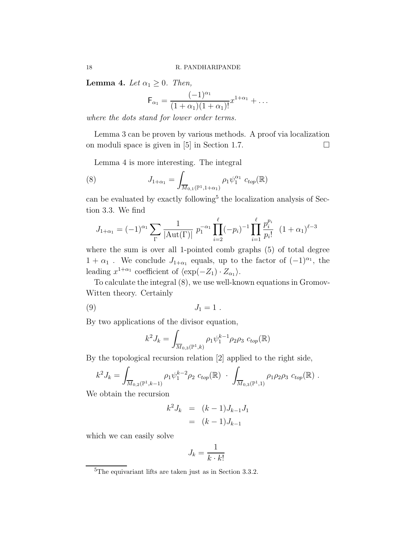**Lemma 4.** Let  $\alpha_1 \geq 0$ . Then,

$$
\mathsf{F}_{\alpha_1} = \frac{(-1)^{\alpha_1}}{(1+\alpha_1)(1+\alpha_1)!} x^{1+\alpha_1} + \dots
$$

where the dots stand for lower order terms.

Lemma 3 can be proven by various methods. A proof via localization on moduli space is given in [5] in Section 1.7.  $\Box$ 

Lemma 4 is more interesting. The integral

(8) 
$$
J_{1+\alpha_1} = \int_{\overline{M}_{0,1}(\mathbb{P}^1,1+\alpha_1)} \rho_1 \psi_1^{\alpha_1} c_{top}(\mathbb{R})
$$

can be evaluated by exactly following<sup>5</sup> the localization analysis of Section 3.3. We find

$$
J_{1+\alpha_1} = (-1)^{\alpha_1} \sum_{\Gamma} \frac{1}{|\text{Aut}(\Gamma)|} p_1^{-\alpha_1} \prod_{i=2}^{\ell} (-p_i)^{-1} \prod_{i=1}^{\ell} \frac{p_i^{p_i}}{p_i!} (1+\alpha_1)^{\ell-3}
$$

where the sum is over all 1-pointed comb graphs (5) of total degree  $1 + \alpha_1$ . We conclude  $J_{1+\alpha_1}$  equals, up to the factor of  $(-1)^{\alpha_1}$ , the leading  $x^{1+\alpha_1}$  coefficient of  $\langle \exp(-Z_1) \cdot Z_{\alpha_1} \rangle$ .

To calculate the integral (8), we use well-known equations in Gromov-Witten theory. Certainly

$$
(9) \t\t J_1 = 1.
$$

By two applications of the divisor equation,

$$
k^2 J_k = \int_{\overline{M}_{0,3}(\mathbb{P}^1,k)} \rho_1 \psi_1^{k-1} \rho_2 \rho_3 \ c_{top}(\mathbb{R})
$$

By the topological recursion relation [2] applied to the right side,

$$
k^2 J_k = \int_{\overline{M}_{0,2}(\mathbb{P}^1,k-1)} \rho_1 \psi_1^{k-2} \rho_2 \ c_{top}(\mathbb{R}) \cdot \int_{\overline{M}_{0,3}(\mathbb{P}^1,1)} \rho_1 \rho_2 \rho_3 \ c_{top}(\mathbb{R}) \ .
$$

We obtain the recursion

$$
k^2 J_k = (k-1)J_{k-1}J_1
$$
  
=  $(k-1)J_{k-1}$ 

which we can easily solve

$$
J_k = \frac{1}{k \cdot k!}
$$

<sup>5</sup>The equivariant lifts are taken just as in Section 3.3.2.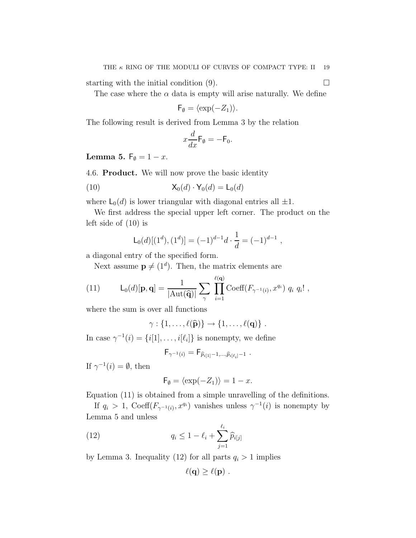starting with the initial condition  $(9)$ .

The case where the  $\alpha$  data is empty will arise naturally. We define

$$
\mathsf{F}_{\emptyset} = \langle \exp(-Z_1) \rangle.
$$

The following result is derived from Lemma 3 by the relation

$$
x\frac{d}{dx}\mathsf{F}_{\emptyset}=-\mathsf{F}_{0}.
$$

Lemma 5.  $F_{\emptyset} = 1 - x$ .

4.6. Product. We will now prove the basic identity

(10) 
$$
\mathsf{X}_0(d) \cdot \mathsf{Y}_0(d) = \mathsf{L}_0(d)
$$

where  $\mathsf{L}_0(d)$  is lower triangular with diagonal entries all  $\pm 1$ .

We first address the special upper left corner. The product on the left side of (10) is

$$
\mathsf{L}_0(d)[(1^d),(1^d)] = (-1)^{d-1}d \cdot \frac{1}{d} = (-1)^{d-1} ,
$$

a diagonal entry of the specified form.

Next assume  $\mathbf{p} \neq (1^d)$ . Then, the matrix elements are

(11) 
$$
L_0(d)[\mathbf{p}, \mathbf{q}] = \frac{1}{|\text{Aut}(\widehat{\mathbf{q}})|} \sum_{\gamma} \prod_{i=1}^{\ell(\mathbf{q})} \text{Coeff}(F_{\gamma^{-1}(i)}, x^{q_i}) q_i q_i! ,
$$

where the sum is over all functions

$$
\gamma: \{1,\ldots,\ell(\widehat{\mathbf{p}})\}\to \{1,\ldots,\ell(\mathbf{q})\}.
$$

In case  $\gamma^{-1}(i) = \{i[1], \ldots, i[\ell_i]\}$  is nonempty, we define

$$
\mathsf{F}_{\gamma^{-1}(i)} = \mathsf{F}_{\widehat{p}_{i[1]}-1,\ldots,\widehat{p}_{i[\ell_i]}-1} \; .
$$

If  $\gamma^{-1}(i) = \emptyset$ , then

$$
\mathsf{F}_{\emptyset} = \langle \exp(-Z_1) \rangle = 1 - x.
$$

Equation (11) is obtained from a simple unravelling of the definitions.

If  $q_i > 1$ , Coeff $(F_{\gamma^{-1}(i)}, x^{q_i})$  vanishes unless  $\gamma^{-1}(i)$  is nonempty by Lemma 5 and unless

(12) 
$$
q_i \leq 1 - \ell_i + \sum_{j=1}^{\ell_i} \widehat{p}_{i[j]}
$$

by Lemma 3. Inequality (12) for all parts  $q_i > 1$  implies

$$
\ell(\mathbf{q}) \geq \ell(\mathbf{p}) \ .
$$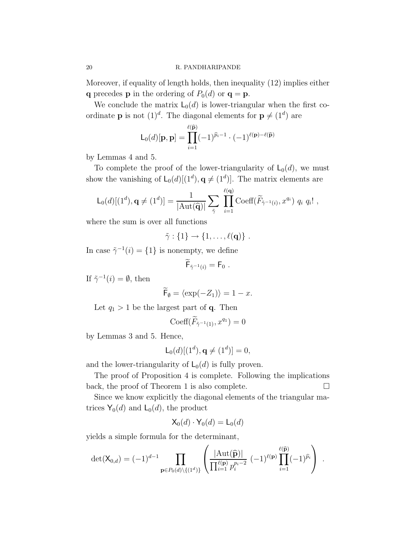Moreover, if equality of length holds, then inequality (12) implies either **q** precedes **p** in the ordering of  $P_0(d)$  or **q** = **p**.

We conclude the matrix  $L_0(d)$  is lower-triangular when the first coordinate **p** is not  $(1)^d$ . The diagonal elements for  $p \neq (1^d)$  are

$$
\mathsf{L}_{0}(d)[\mathbf{p},\mathbf{p}] = \prod_{i=1}^{\ell(\widehat{\mathbf{p}})} (-1)^{\widehat{p}_{i}-1} \cdot (-1)^{\ell(\mathbf{p})-\ell(\widehat{\mathbf{p}})}
$$

by Lemmas 4 and 5.

To complete the proof of the lower-triangularity of  $\mathsf{L}_0(d)$ , we must show the vanishing of  $\mathsf{L}_0(d)[(1^d), \mathbf{q} \neq (1^d)]$ . The matrix elements are

$$
\mathsf{L}_{0}(d)[(1^d),\mathbf{q} \neq (1^d)] = \frac{1}{|\mathrm{Aut}(\widehat{\mathbf{q}})|} \sum_{\tilde{\gamma}} \prod_{i=1}^{\ell(\mathbf{q})} \mathrm{Coeff}(\widetilde{F}_{\tilde{\gamma}^{-1}(i)},x^{q_i}) q_i q_i! ,
$$

where the sum is over all functions

$$
\tilde{\gamma}:\{1\}\to\{1,\ldots,\ell(\mathbf{q})\}.
$$

In case  $\tilde{\gamma}^{-1}(i) = \{1\}$  is nonempty, we define

$$
\mathsf{F}_{\tilde{\gamma}^{-1}(i)} = \mathsf{F}_0 \; .
$$

If  $\tilde{\gamma}^{-1}(i) = \emptyset$ , then

$$
\widetilde{\mathsf{F}}_{\emptyset} = \langle \exp(-Z_1) \rangle = 1 - x.
$$

Let  $q_1 > 1$  be the largest part of **q**. Then

$$
\mathrm{Coeff}(\widetilde{F}_{\tilde{\gamma}^{-1}(1)}, x^{q_1}) = 0
$$

by Lemmas 3 and 5. Hence,

$$
\mathsf{L}_0(d)[(1^d), \mathbf{q} \neq (1^d)] = 0,
$$

and the lower-triangularity of  $\mathsf{L}_0(d)$  is fully proven.

The proof of Proposition 4 is complete. Following the implications back, the proof of Theorem 1 is also complete.  $\Box$ 

Since we know explicitly the diagonal elements of the triangular matrices  $Y_0(d)$  and  $L_0(d)$ , the product

$$
\mathsf{X}_0(d) \cdot \mathsf{Y}_0(d) = \mathsf{L}_0(d)
$$

yields a simple formula for the determinant,

$$
\det(\mathsf{X}_{0,d}) = (-1)^{d-1} \prod_{\mathbf{p} \in P_0(d) \setminus \{(1^d)\}} \left( \frac{|\mathrm{Aut}(\widehat{\mathbf{p}})|}{\prod_{i=1}^{\ell(\mathbf{p})} p_i^{p_i - 2}} (-1)^{\ell(\mathbf{p})} \prod_{i=1}^{\ell(\widehat{\mathbf{p}})} (-1)^{\widehat{p}_i} \right) .
$$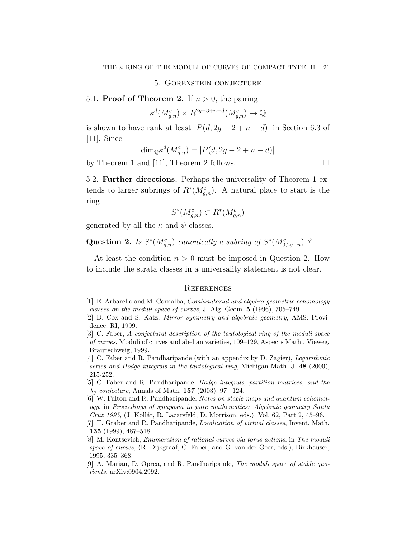#### 5. Gorenstein conjecture

5.1. **Proof of Theorem 2.** If  $n > 0$ , the pairing

$$
\kappa^d(M^c_{g,n}) \times R^{2g-3+n-d}(M^c_{g,n}) \to \mathbb{Q}
$$

is shown to have rank at least  $|P(d, 2g - 2 + n - d)|$  in Section 6.3 of [11]. Since

$$
\dim_{\mathbb{Q}} \kappa^d(M_{g,n}^c) = |P(d, 2g - 2 + n - d)|
$$

by Theorem 1 and [11], Theorem 2 follows.  $\Box$ 

5.2. Further directions. Perhaps the universality of Theorem 1 extends to larger subrings of  $R^*(M_{g,n}^c)$ . A natural place to start is the ring

$$
S^*(M_{g,n}^c) \subset R^*(M_{g,n}^c)
$$

generated by all the  $\kappa$  and  $\psi$  classes.

Question 2. Is  $S^*(M_{g,n}^c)$  canonically a subring of  $S^*(M_{0,2g+n}^c)$ ?

At least the condition  $n > 0$  must be imposed in Question 2. How to include the strata classes in a universality statement is not clear.

#### **REFERENCES**

- [1] E. Arbarello and M. Cornalba, Combinatorial and algebro-geometric cohomology classes on the moduli space of curves, J. Alg. Geom. 5 (1996), 705–749.
- [2] D. Cox and S. Katz, Mirror symmetry and algebraic geometry, AMS: Providence, RI, 1999.
- [3] C. Faber, A conjectural description of the tautological ring of the moduli space of curves, Moduli of curves and abelian varieties, 109–129, Aspects Math., Vieweg, Braunschweig, 1999.
- [4] C. Faber and R. Pandharipande (with an appendix by D. Zagier), Logarithmic series and Hodge integrals in the tautological ring, Michigan Math. J. 48 (2000), 215-252.
- [5] C. Faber and R. Pandharipande, Hodge integrals, partition matrices, and the  $\lambda_q$  conjecture, Annals of Math. 157 (2003), 97 –124.
- [6] W. Fulton and R. Pandharipande, Notes on stable maps and quantum cohomology, in Proceedings of symposia in pure mathematics: Algebraic geometry Santa Cruz 1995, (J. Kollár, R. Lazarsfeld, D. Morrison, eds.), Vol. 62, Part 2, 45–96.
- [7] T. Graber and R. Pandharipande, Localization of virtual classes, Invent. Math. 135 (1999), 487–518.
- [8] M. Kontsevich, Enumeration of rational curves via torus actions, in The moduli space of curves, (R. Dijkgraaf, C. Faber, and G. van der Geer, eds.), Birkhauser, 1995, 335–368.
- [9] A. Marian, D. Oprea, and R. Pandharipande, The moduli space of stable quotients, arXiv:0904.2992.